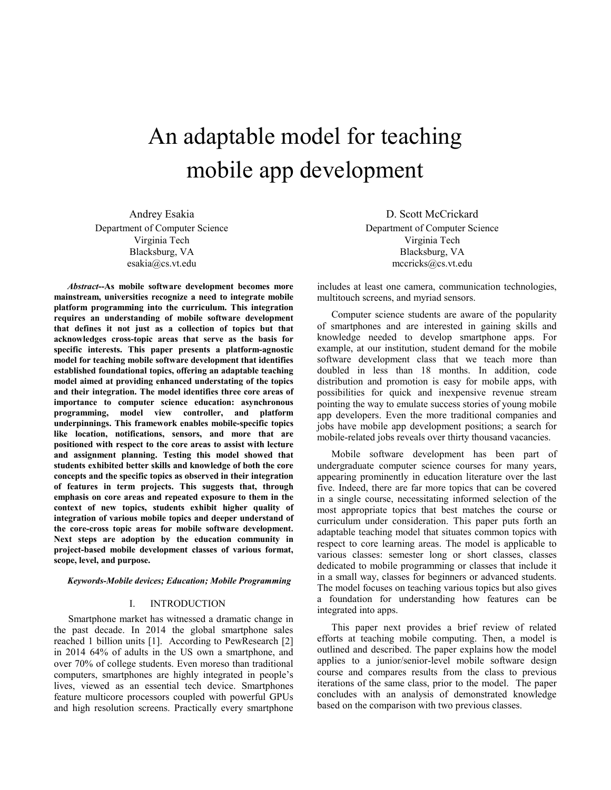# An adaptable model for teaching mobile app development

Andrey Esakia Department of Computer Science Virginia Tech Blacksburg, VA esakia@cs.vt.edu

*Abstract***--As mobile software development becomes more mainstream, universities recognize a need to integrate mobile platform programming into the curriculum. This integration requires an understanding of mobile software development that defines it not just as a collection of topics but that acknowledges cross-topic areas that serve as the basis for specific interests. This paper presents a platform-agnostic model for teaching mobile software development that identifies established foundational topics, offering an adaptable teaching model aimed at providing enhanced understating of the topics and their integration. The model identifies three core areas of importance to computer science education: asynchronous programming, model view controller, and platform underpinnings. This framework enables mobile-specific topics like location, notifications, sensors, and more that are positioned with respect to the core areas to assist with lecture and assignment planning. Testing this model showed that students exhibited better skills and knowledge of both the core concepts and the specific topics as observed in their integration of features in term projects. This suggests that, through emphasis on core areas and repeated exposure to them in the context of new topics, students exhibit higher quality of integration of various mobile topics and deeper understand of the core-cross topic areas for mobile software development. Next steps are adoption by the education community in project-based mobile development classes of various format, scope, level, and purpose.**

*Keywords-Mobile devices; Education; Mobile Programming*

# I. INTRODUCTION

Smartphone market has witnessed a dramatic change in the past decade. In 2014 the global smartphone sales reached 1 billion units [1]. According to PewResearch [2] in 2014 64% of adults in the US own a smartphone, and over 70% of college students. Even moreso than traditional computers, smartphones are highly integrated in people's lives, viewed as an essential tech device. Smartphones feature multicore processors coupled with powerful GPUs and high resolution screens. Practically every smartphone

D. Scott McCrickard Department of Computer Science Virginia Tech Blacksburg, VA mccricks@cs.vt.edu

includes at least one camera, communication technologies, multitouch screens, and myriad sensors.

Computer science students are aware of the popularity of smartphones and are interested in gaining skills and knowledge needed to develop smartphone apps. For example, at our institution, student demand for the mobile software development class that we teach more than doubled in less than 18 months. In addition, code distribution and promotion is easy for mobile apps, with possibilities for quick and inexpensive revenue stream pointing the way to emulate success stories of young mobile app developers. Even the more traditional companies and jobs have mobile app development positions; a search for mobile-related jobs reveals over thirty thousand vacancies.

Mobile software development has been part of undergraduate computer science courses for many years, appearing prominently in education literature over the last five. Indeed, there are far more topics that can be covered in a single course, necessitating informed selection of the most appropriate topics that best matches the course or curriculum under consideration. This paper puts forth an adaptable teaching model that situates common topics with respect to core learning areas. The model is applicable to various classes: semester long or short classes, classes dedicated to mobile programming or classes that include it in a small way, classes for beginners or advanced students. The model focuses on teaching various topics but also gives a foundation for understanding how features can be integrated into apps.

This paper next provides a brief review of related efforts at teaching mobile computing. Then, a model is outlined and described. The paper explains how the model applies to a junior/senior-level mobile software design course and compares results from the class to previous iterations of the same class, prior to the model. The paper concludes with an analysis of demonstrated knowledge based on the comparison with two previous classes.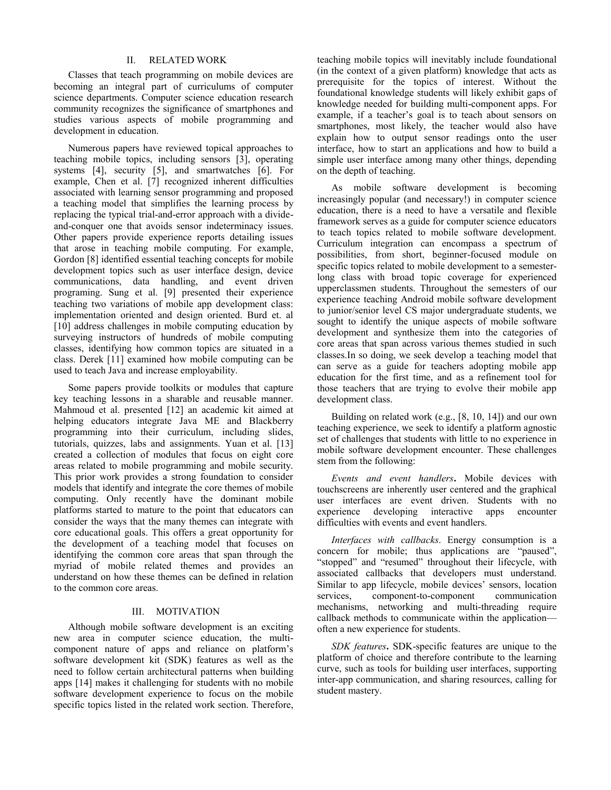## II. RELATED WORK

Classes that teach programming on mobile devices are becoming an integral part of curriculums of computer science departments. Computer science education research community recognizes the significance of smartphones and studies various aspects of mobile programming and development in education.

Numerous papers have reviewed topical approaches to teaching mobile topics, including sensors [3], operating systems [4], security [5], and smartwatches [6]. For example, Chen et al. [7] recognized inherent difficulties associated with learning sensor programming and proposed a teaching model that simplifies the learning process by replacing the typical trial-and-error approach with a divideand-conquer one that avoids sensor indeterminacy issues. Other papers provide experience reports detailing issues that arose in teaching mobile computing. For example, Gordon [8] identified essential teaching concepts for mobile development topics such as user interface design, device communications, data handling, and event driven programing. Sung et al. [9] presented their experience teaching two variations of mobile app development class: implementation oriented and design oriented. Burd et. al [10] address challenges in mobile computing education by surveying instructors of hundreds of mobile computing classes, identifying how common topics are situated in a class. Derek [11] examined how mobile computing can be used to teach Java and increase employability.

Some papers provide toolkits or modules that capture key teaching lessons in a sharable and reusable manner. Mahmoud et al. presented [12] an academic kit aimed at helping educators integrate Java ME and Blackberry programming into their curriculum, including slides, tutorials, quizzes, labs and assignments. Yuan et al. [13] created a collection of modules that focus on eight core areas related to mobile programming and mobile security. This prior work provides a strong foundation to consider models that identify and integrate the core themes of mobile computing. Only recently have the dominant mobile platforms started to mature to the point that educators can consider the ways that the many themes can integrate with core educational goals. This offers a great opportunity for the development of a teaching model that focuses on identifying the common core areas that span through the myriad of mobile related themes and provides an understand on how these themes can be defined in relation to the common core areas.

# III. MOTIVATION

Although mobile software development is an exciting new area in computer science education, the multicomponent nature of apps and reliance on platform's software development kit (SDK) features as well as the need to follow certain architectural patterns when building apps [14] makes it challenging for students with no mobile software development experience to focus on the mobile specific topics listed in the related work section. Therefore, teaching mobile topics will inevitably include foundational (in the context of a given platform) knowledge that acts as prerequisite for the topics of interest. Without the foundational knowledge students will likely exhibit gaps of knowledge needed for building multi-component apps. For example, if a teacher's goal is to teach about sensors on smartphones, most likely, the teacher would also have explain how to output sensor readings onto the user interface, how to start an applications and how to build a simple user interface among many other things, depending on the depth of teaching.

As mobile software development is becoming increasingly popular (and necessary!) in computer science education, there is a need to have a versatile and flexible framework serves as a guide for computer science educators to teach topics related to mobile software development. Curriculum integration can encompass a spectrum of possibilities, from short, beginner-focused module on specific topics related to mobile development to a semesterlong class with broad topic coverage for experienced upperclassmen students. Throughout the semesters of our experience teaching Android mobile software development to junior/senior level CS major undergraduate students, we sought to identify the unique aspects of mobile software development and synthesize them into the categories of core areas that span across various themes studied in such classes.In so doing, we seek develop a teaching model that can serve as a guide for teachers adopting mobile app education for the first time, and as a refinement tool for those teachers that are trying to evolve their mobile app development class.

Building on related work (e.g., [8, 10, 14]) and our own teaching experience, we seek to identify a platform agnostic set of challenges that students with little to no experience in mobile software development encounter. These challenges stem from the following:

*Events and event handlers***.** Mobile devices with touchscreens are inherently user centered and the graphical user interfaces are event driven. Students with no experience developing interactive apps encounter difficulties with events and event handlers.

*Interfaces with callbacks*. Energy consumption is a concern for mobile; thus applications are "paused", "stopped" and "resumed" throughout their lifecycle, with associated callbacks that developers must understand. Similar to app lifecycle, mobile devices' sensors, location services, component-to-component communication mechanisms, networking and multi-threading require callback methods to communicate within the application often a new experience for students.

*SDK features***.** SDK-specific features are unique to the platform of choice and therefore contribute to the learning curve, such as tools for building user interfaces, supporting inter-app communication, and sharing resources, calling for student mastery.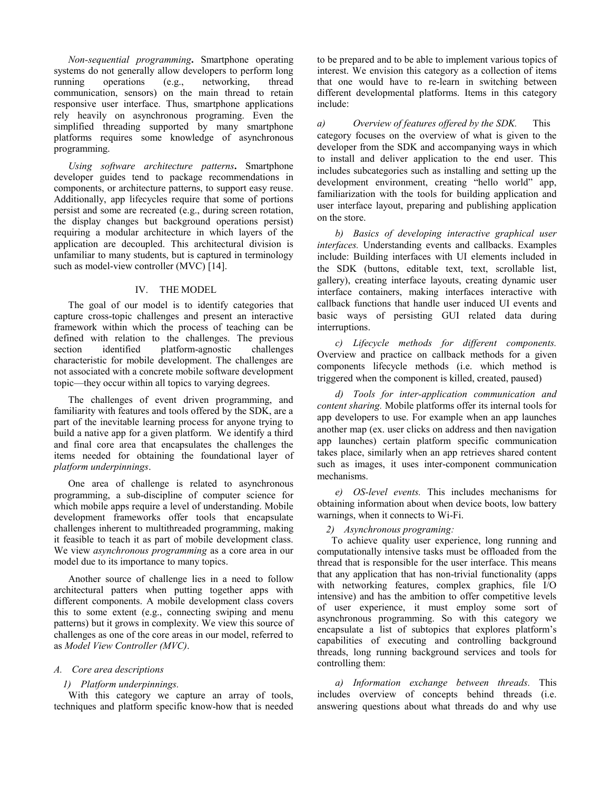*Non-sequential programming***.** Smartphone operating systems do not generally allow developers to perform long running operations (e.g., networking, thread communication, sensors) on the main thread to retain responsive user interface. Thus, smartphone applications rely heavily on asynchronous programing. Even the simplified threading supported by many smartphone platforms requires some knowledge of asynchronous programming.

*Using software architecture patterns***.** Smartphone developer guides tend to package recommendations in components, or architecture patterns, to support easy reuse. Additionally, app lifecycles require that some of portions persist and some are recreated (e.g., during screen rotation, the display changes but background operations persist) requiring a modular architecture in which layers of the application are decoupled. This architectural division is unfamiliar to many students, but is captured in terminology such as model-view controller (MVC) [14].

# IV. THE MODEL

The goal of our model is to identify categories that capture cross-topic challenges and present an interactive framework within which the process of teaching can be defined with relation to the challenges. The previous section identified platform-agnostic challenges characteristic for mobile development. The challenges are not associated with a concrete mobile software development topic—they occur within all topics to varying degrees.

The challenges of event driven programming, and familiarity with features and tools offered by the SDK, are a part of the inevitable learning process for anyone trying to build a native app for a given platform. We identify a third and final core area that encapsulates the challenges the items needed for obtaining the foundational layer of *platform underpinnings*.

One area of challenge is related to asynchronous programming, a sub-discipline of computer science for which mobile apps require a level of understanding. Mobile development frameworks offer tools that encapsulate challenges inherent to multithreaded programming, making it feasible to teach it as part of mobile development class. We view *asynchronous programming* as a core area in our model due to its importance to many topics.

Another source of challenge lies in a need to follow architectural patters when putting together apps with different components. A mobile development class covers this to some extent (e.g., connecting swiping and menu patterns) but it grows in complexity. We view this source of challenges as one of the core areas in our model, referred to as *Model View Controller (MVC)*.

# *A. Core area descriptions*

# *1) Platform underpinnings.*

With this category we capture an array of tools, techniques and platform specific know-how that is needed to be prepared and to be able to implement various topics of interest. We envision this category as a collection of items that one would have to re-learn in switching between different developmental platforms. Items in this category include:

*a) Overview of features offered by the SDK.* This category focuses on the overview of what is given to the developer from the SDK and accompanying ways in which to install and deliver application to the end user. This includes subcategories such as installing and setting up the development environment, creating "hello world" app, familiarization with the tools for building application and user interface layout, preparing and publishing application on the store.

*b) Basics of developing interactive graphical user interfaces.* Understanding events and callbacks. Examples include: Building interfaces with UI elements included in the SDK (buttons, editable text, text, scrollable list, gallery), creating interface layouts, creating dynamic user interface containers, making interfaces interactive with callback functions that handle user induced UI events and basic ways of persisting GUI related data during interruptions.

*c) Lifecycle methods for different components.* Overview and practice on callback methods for a given components lifecycle methods (i.e. which method is triggered when the component is killed, created, paused)

*d) Tools for inter-application communication and content sharing.* Mobile platforms offer its internal tools for app developers to use. For example when an app launches another map (ex. user clicks on address and then navigation app launches) certain platform specific communication takes place, similarly when an app retrieves shared content such as images, it uses inter-component communication mechanisms.

*e) OS-level events.* This includes mechanisms for obtaining information about when device boots, low battery warnings, when it connects to Wi-Fi.

# *2) Asynchronous programing:*

To achieve quality user experience, long running and computationally intensive tasks must be offloaded from the thread that is responsible for the user interface. This means that any application that has non-trivial functionality (apps with networking features, complex graphics, file I/O intensive) and has the ambition to offer competitive levels of user experience, it must employ some sort of asynchronous programming. So with this category we encapsulate a list of subtopics that explores platform's capabilities of executing and controlling background threads, long running background services and tools for controlling them:

*a) Information exchange between threads.* This includes overview of concepts behind threads (i.e. answering questions about what threads do and why use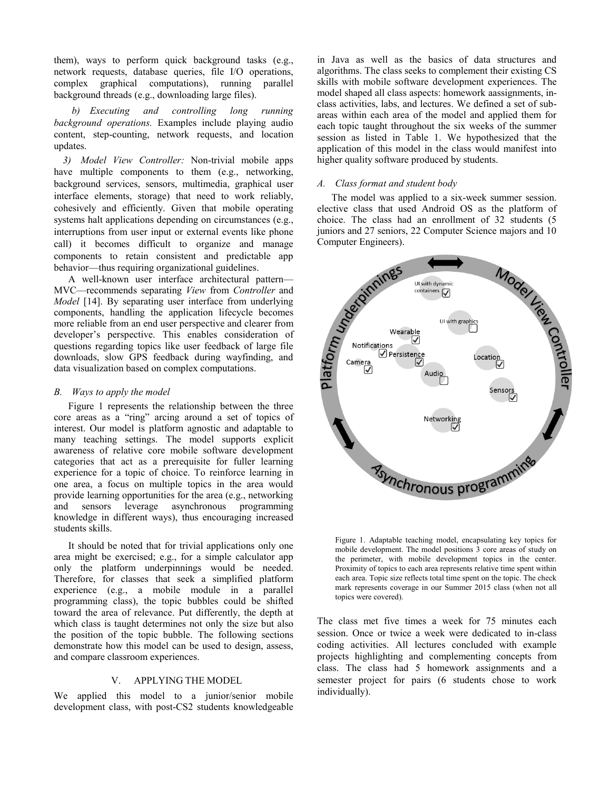them), ways to perform quick background tasks (e.g., network requests, database queries, file I/O operations, complex graphical computations), running parallel background threads (e.g., downloading large files).

*b) Executing and controlling long running background operations.* Examples include playing audio content, step-counting, network requests, and location updates.

*3) Model View Controller:* Non-trivial mobile apps have multiple components to them (e.g., networking, background services, sensors, multimedia, graphical user interface elements, storage) that need to work reliably, cohesively and efficiently. Given that mobile operating systems halt applications depending on circumstances (e.g., interruptions from user input or external events like phone call) it becomes difficult to organize and manage components to retain consistent and predictable app behavior—thus requiring organizational guidelines.

A well-known user interface architectural pattern— MVC—recommends separating *View* from *Controller* and *Model* [14]. By separating user interface from underlying components, handling the application lifecycle becomes more reliable from an end user perspective and clearer from developer's perspective. This enables consideration of questions regarding topics like user feedback of large file downloads, slow GPS feedback during wayfinding, and data visualization based on complex computations.

# *B. Ways to apply the model*

Figure 1 represents the relationship between the three core areas as a "ring" arcing around a set of topics of interest. Our model is platform agnostic and adaptable to many teaching settings. The model supports explicit awareness of relative core mobile software development categories that act as a prerequisite for fuller learning experience for a topic of choice. To reinforce learning in one area, a focus on multiple topics in the area would provide learning opportunities for the area (e.g., networking and sensors leverage asynchronous programming knowledge in different ways), thus encouraging increased students skills.

It should be noted that for trivial applications only one area might be exercised; e.g., for a simple calculator app only the platform underpinnings would be needed. Therefore, for classes that seek a simplified platform experience (e.g., a mobile module in a parallel programming class), the topic bubbles could be shifted toward the area of relevance. Put differently, the depth at which class is taught determines not only the size but also the position of the topic bubble. The following sections demonstrate how this model can be used to design, assess, and compare classroom experiences.

# V. APPLYING THE MODEL

We applied this model to a junior/senior mobile development class, with post-CS2 students knowledgeable

in Java as well as the basics of data structures and algorithms. The class seeks to complement their existing CS skills with mobile software development experiences. The model shaped all class aspects: homework aassignments, inclass activities, labs, and lectures. We defined a set of subareas within each area of the model and applied them for each topic taught throughout the six weeks of the summer session as listed in Table 1. We hypothesized that the application of this model in the class would manifest into higher quality software produced by students.

## *A. Class format and student body*

The model was applied to a six-week summer session. elective class that used Android OS as the platform of choice. The class had an enrollment of 32 students (5 juniors and 27 seniors, 22 Computer Science majors and 10



Figure 1. Adaptable teaching model, encapsulating key topics for mobile development. The model positions 3 core areas of study on the perimeter, with mobile development topics in the center. Proximity of topics to each area represents relative time spent within each area. Topic size reflects total time spent on the topic. The check mark represents coverage in our Summer 2015 class (when not all topics were covered).

The class met five times a week for 75 minutes each session. Once or twice a week were dedicated to in-class coding activities. All lectures concluded with example projects highlighting and complementing concepts from class. The class had 5 homework assignments and a semester project for pairs (6 students chose to work individually).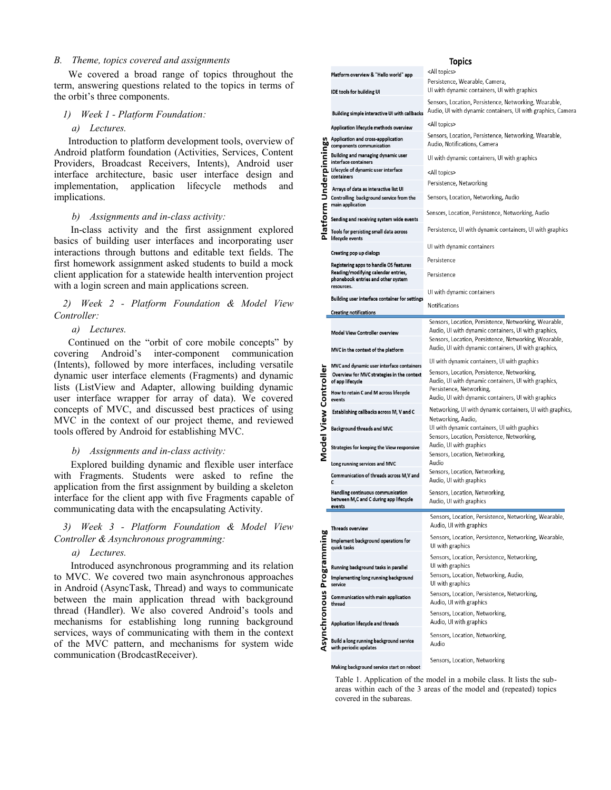## *B. Theme, topics covered and assignments*

We covered a broad range of topics throughout the term, answering questions related to the topics in terms of the orbit's three components.

# *1) Week 1 - Platform Foundation:*

#### *a) Lectures.*

Introduction to platform development tools, overview of Android platform foundation (Activities, Services, Content Providers, Broadcast Receivers, Intents), Android user interface architecture, basic user interface design and implementation, application lifecycle methods and implications.

## *b) Assignments and in-class activity:*

In-class activity and the first assignment explored basics of building user interfaces and incorporating user interactions through buttons and editable text fields. The first homework assignment asked students to build a mock client application for a statewide health intervention project with a login screen and main applications screen.

*2) Week 2 - Platform Foundation & Model View Controller:* 

# *a) Lectures.*

Continued on the "orbit of core mobile concepts" by covering Android's inter-component communication (Intents), followed by more interfaces, including versatile dynamic user interface elements (Fragments) and dynamic lists (ListView and Adapter, allowing building dynamic user interface wrapper for array of data). We covered concepts of MVC, and discussed best practices of using MVC in the context of our project theme, and reviewed tools offered by Android for establishing MVC.

## *b) Assignments and in-class activity:*

Explored building dynamic and flexible user interface with Fragments. Students were asked to refine the application from the first assignment by building a skeleton interface for the client app with five Fragments capable of communicating data with the encapsulating Activity.

*3) Week 3 - Platform Foundation & Model View Controller & Asynchronous programming:* 

# *a) Lectures.*

Introduced asynchronous programming and its relation to MVC. We covered two main asynchronous approaches in Android (AsyncTask, Thread) and ways to communicate between the main application thread with background thread (Handler). We also covered Android's tools and mechanisms for establishing long running background services, ways of communicating with them in the context of the MVC pattern, and mechanisms for system wide communication (BrodcastReceiver).

| latform Underpinnings    | Platform overview & "Hello world" app                                                 | <all topics=""></all>                                                                                                           |
|--------------------------|---------------------------------------------------------------------------------------|---------------------------------------------------------------------------------------------------------------------------------|
|                          | <b>IDE tools for building UI</b>                                                      | Persistence, Wearable, Camera,<br>UI with dynamic containers, UI with graphics                                                  |
|                          | Building simple interactive UI with callbacks                                         | Sensors, Location, Persistence, Networking, Wearable,<br>Audio, UI with dynamic containers, UI with graphics, Camera            |
|                          | Application lifecycle methods overview                                                | <all topics=""></all>                                                                                                           |
|                          | Application and cross-appplication<br>components communication                        | Sensors, Location, Persistence, Networking, Wearable,<br>Audio, Notifications, Camera                                           |
|                          | Building and managing dynamic user<br>interface containers                            | UI with dynamic containers, UI with graphics                                                                                    |
|                          | Lifecycle of dynamic user interface<br>containers                                     | <all topics=""></all>                                                                                                           |
|                          | Arrays of data as interactive list UI                                                 | Persistence, Networking                                                                                                         |
|                          | Controlling background service from the<br>main application                           | Sensors, Location, Networking, Audio                                                                                            |
|                          | Sending and receiving system wide events                                              | Sensors, Location, Persistence, Networking, Audio                                                                               |
|                          | Tools for persisting small data across<br>lifecycle events                            | Persistence, UI with dynamic containers, UI with graphics                                                                       |
|                          | Creating pop up dialogs                                                               | UI with dynamic containers                                                                                                      |
|                          | Registering apps to handle OS features                                                | Persistence                                                                                                                     |
|                          | Reading/modifying calendar entries,<br>phonebook entries and other system             | Persistence                                                                                                                     |
|                          | resources.                                                                            | UI with dynamic containers                                                                                                      |
|                          | Building user interface container for settings                                        | <b>Notifications</b>                                                                                                            |
|                          | <b>Creating notifications</b>                                                         | Sensors, Location, Persistence, Networking, Wearable,                                                                           |
| Model View Controller    | <b>Model View Controller overview</b>                                                 | Audio, UI with dynamic containers, UI with graphics,<br>Sensors, Location, Persistence, Networking, Wearable,                   |
|                          | MVC in the context of the platform                                                    | Audio, UI with dynamic containers, UI with graphics,                                                                            |
|                          | MVC and dynamic user interface containers                                             | Ul with dynamic containers, Ul with graphics                                                                                    |
|                          | Overview for MVC strategies in the context<br>of app lifecycle                        | Sensors, Location, Persistence, Networking,<br>Audio, UI with dynamic containers, UI with graphics,<br>Persistence, Networking, |
|                          | How to retain C and M across lifecycle<br>events                                      | Audio, UI with dynamic containers, UI with graphics                                                                             |
|                          | Establishing callbacks across M, V and C                                              | Networking, UI with dynamic containers, UI with graphics,                                                                       |
|                          |                                                                                       | Networking, Audio,                                                                                                              |
|                          | Background threads and MVC                                                            | UI with dynamic containers, UI with graphics<br>Sensors, Location, Persistence, Networking,                                     |
|                          | Strategies for keeping the View responsive                                            | Audio, UI with graphics<br>Sensors, Location, Networking,                                                                       |
|                          | Long running services and MVC                                                         | Audio<br>Sensors, Location, Networking,                                                                                         |
|                          | Communication of threads across M,V and                                               | Audio, UI with graphics                                                                                                         |
|                          | Handling continuous communication<br>between M,C and C during app lifecycle<br>events | Sensors, Location, Networking,<br>Audio, UI with graphics                                                                       |
| Asynchronous Programming | Threads overview                                                                      | Sensors, Location, Persistence, Networking, Wearable,<br>Audio, UI with graphics                                                |
|                          | Implement background operations for                                                   | Sensors, Location, Persistence, Networking, Wearable,<br>UI with graphics                                                       |
|                          | quick tasks                                                                           | Sensors, Location, Persistence, Networking,                                                                                     |
|                          | Running background tasks in parallel                                                  | UI with graphics                                                                                                                |
|                          | Implementing long running background                                                  | Sensors, Location, Networking, Audio,<br>UI with graphics                                                                       |
|                          | service<br>Communication with main application<br>thread                              | Sensors, Location, Persistence, Networking,<br>Audio, UI with graphics                                                          |
|                          |                                                                                       | Sensors, Location, Networking,                                                                                                  |
|                          | Application lifecycle and threads                                                     | Audio, UI with graphics                                                                                                         |
|                          | Build a long running background service<br>with periodic updates                      | Sensors, Location, Networking,<br>Audio                                                                                         |
|                          |                                                                                       | Sensors, Location, Networking                                                                                                   |

Making background service start on reboot

Table 1. Application of the model in a mobile class. It lists the subareas within each of the 3 areas of the model and (repeated) topics covered in the subareas.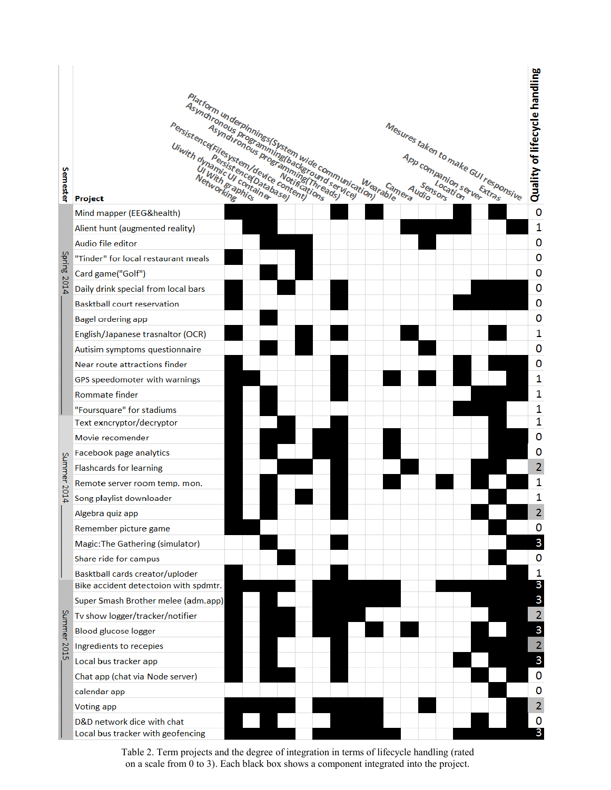

Table 2. Term projects and the degree of integration in terms of lifecycle handling (rated on a scale from 0 to 3). Each black box shows a component integrated into the project.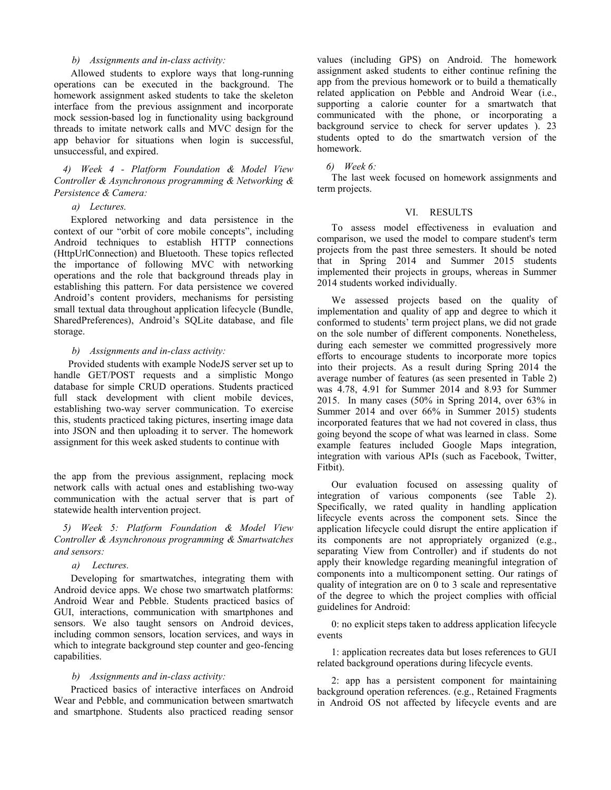# *b) Assignments and in-class activity:*

Allowed students to explore ways that long-running operations can be executed in the background. The homework assignment asked students to take the skeleton interface from the previous assignment and incorporate mock session-based log in functionality using background threads to imitate network calls and MVC design for the app behavior for situations when login is successful, unsuccessful, and expired.

# *4) Week 4 - Platform Foundation & Model View Controller & Asynchronous programming & Networking & Persistence & Camera:*

# *a) Lectures.*

Explored networking and data persistence in the context of our "orbit of core mobile concepts", including Android techniques to establish HTTP connections (HttpUrlConnection) and Bluetooth. These topics reflected the importance of following MVC with networking operations and the role that background threads play in establishing this pattern. For data persistence we covered Android's content providers, mechanisms for persisting small textual data throughout application lifecycle (Bundle, SharedPreferences), Android's SQLite database, and file storage.

## *b) Assignments and in-class activity:*

Provided students with example NodeJS server set up to handle GET/POST requests and a simplistic Mongo database for simple CRUD operations. Students practiced full stack development with client mobile devices, establishing two-way server communication. To exercise this, students practiced taking pictures, inserting image data into JSON and then uploading it to server. The homework assignment for this week asked students to continue with

the app from the previous assignment, replacing mock network calls with actual ones and establishing two-way communication with the actual server that is part of statewide health intervention project.

*5) Week 5: Platform Foundation & Model View Controller & Asynchronous programming & Smartwatches and sensors:*

# *a) Lectures.*

Developing for smartwatches, integrating them with Android device apps. We chose two smartwatch platforms: Android Wear and Pebble. Students practiced basics of GUI, interactions, communication with smartphones and sensors. We also taught sensors on Android devices, including common sensors, location services, and ways in which to integrate background step counter and geo-fencing capabilities.

# *b) Assignments and in-class activity:*

Practiced basics of interactive interfaces on Android Wear and Pebble, and communication between smartwatch and smartphone. Students also practiced reading sensor

values (including GPS) on Android. The homework assignment asked students to either continue refining the app from the previous homework or to build a thematically related application on Pebble and Android Wear (i.e., supporting a calorie counter for a smartwatch that communicated with the phone, or incorporating a background service to check for server updates ). 23 students opted to do the smartwatch version of the homework.

# *6) Week 6:*

The last week focused on homework assignments and term projects.

# VI. RESULTS

To assess model effectiveness in evaluation and comparison, we used the model to compare student's term projects from the past three semesters. It should be noted that in Spring 2014 and Summer 2015 students implemented their projects in groups, whereas in Summer 2014 students worked individually.

We assessed projects based on the quality of implementation and quality of app and degree to which it conformed to students' term project plans, we did not grade on the sole number of different components. Nonetheless, during each semester we committed progressively more efforts to encourage students to incorporate more topics into their projects. As a result during Spring 2014 the average number of features (as seen presented in Table 2) was 4.78, 4.91 for Summer 2014 and 8.93 for Summer 2015. In many cases (50% in Spring 2014, over 63% in Summer 2014 and over 66% in Summer 2015) students incorporated features that we had not covered in class, thus going beyond the scope of what was learned in class. Some example features included Google Maps integration, integration with various APIs (such as Facebook, Twitter, Fitbit).

Our evaluation focused on assessing quality of integration of various components (see Table 2). Specifically, we rated quality in handling application lifecycle events across the component sets. Since the application lifecycle could disrupt the entire application if its components are not appropriately organized (e.g., separating View from Controller) and if students do not apply their knowledge regarding meaningful integration of components into a multicomponent setting. Our ratings of quality of integration are on 0 to 3 scale and representative of the degree to which the project complies with official guidelines for Android:

0: no explicit steps taken to address application lifecycle events

1: application recreates data but loses references to GUI related background operations during lifecycle events.

2: app has a persistent component for maintaining background operation references. (e.g., Retained Fragments in Android OS not affected by lifecycle events and are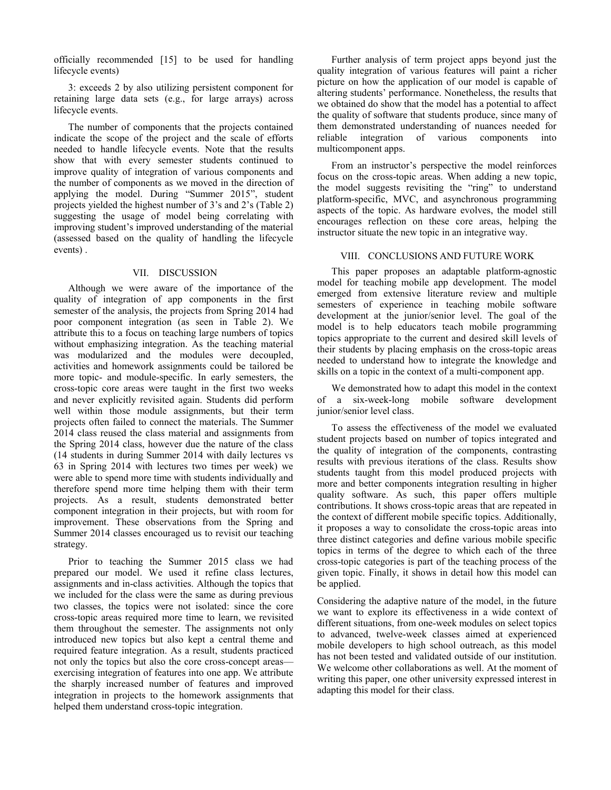officially recommended [15] to be used for handling lifecycle events)

3: exceeds 2 by also utilizing persistent component for retaining large data sets (e.g., for large arrays) across lifecycle events.

The number of components that the projects contained indicate the scope of the project and the scale of efforts needed to handle lifecycle events. Note that the results show that with every semester students continued to improve quality of integration of various components and the number of components as we moved in the direction of applying the model. During "Summer 2015", student projects yielded the highest number of 3's and 2's (Table 2) suggesting the usage of model being correlating with improving student's improved understanding of the material (assessed based on the quality of handling the lifecycle events) .

# VII. DISCUSSION

Although we were aware of the importance of the quality of integration of app components in the first semester of the analysis, the projects from Spring 2014 had poor component integration (as seen in Table 2). We attribute this to a focus on teaching large numbers of topics without emphasizing integration. As the teaching material was modularized and the modules were decoupled, activities and homework assignments could be tailored be more topic- and module-specific. In early semesters, the cross-topic core areas were taught in the first two weeks and never explicitly revisited again. Students did perform well within those module assignments, but their term projects often failed to connect the materials. The Summer 2014 class reused the class material and assignments from the Spring 2014 class, however due the nature of the class (14 students in during Summer 2014 with daily lectures vs 63 in Spring 2014 with lectures two times per week) we were able to spend more time with students individually and therefore spend more time helping them with their term projects. As a result, students demonstrated better component integration in their projects, but with room for improvement. These observations from the Spring and Summer 2014 classes encouraged us to revisit our teaching strategy.

Prior to teaching the Summer 2015 class we had prepared our model. We used it refine class lectures, assignments and in-class activities. Although the topics that we included for the class were the same as during previous two classes, the topics were not isolated: since the core cross-topic areas required more time to learn, we revisited them throughout the semester. The assignments not only introduced new topics but also kept a central theme and required feature integration. As a result, students practiced not only the topics but also the core cross-concept areas exercising integration of features into one app. We attribute the sharply increased number of features and improved integration in projects to the homework assignments that helped them understand cross-topic integration.

Further analysis of term project apps beyond just the quality integration of various features will paint a richer picture on how the application of our model is capable of altering students' performance. Nonetheless, the results that we obtained do show that the model has a potential to affect the quality of software that students produce, since many of them demonstrated understanding of nuances needed for reliable integration of various components into multicomponent apps.

From an instructor's perspective the model reinforces focus on the cross-topic areas. When adding a new topic, the model suggests revisiting the "ring" to understand platform-specific, MVC, and asynchronous programming aspects of the topic. As hardware evolves, the model still encourages reflection on these core areas, helping the instructor situate the new topic in an integrative way.

## VIII. CONCLUSIONS AND FUTURE WORK

This paper proposes an adaptable platform-agnostic model for teaching mobile app development. The model emerged from extensive literature review and multiple semesters of experience in teaching mobile software development at the junior/senior level. The goal of the model is to help educators teach mobile programming topics appropriate to the current and desired skill levels of their students by placing emphasis on the cross-topic areas needed to understand how to integrate the knowledge and skills on a topic in the context of a multi-component app.

We demonstrated how to adapt this model in the context of a six-week-long mobile software development junior/senior level class.

To assess the effectiveness of the model we evaluated student projects based on number of topics integrated and the quality of integration of the components, contrasting results with previous iterations of the class. Results show students taught from this model produced projects with more and better components integration resulting in higher quality software. As such, this paper offers multiple contributions. It shows cross-topic areas that are repeated in the context of different mobile specific topics. Additionally, it proposes a way to consolidate the cross-topic areas into three distinct categories and define various mobile specific topics in terms of the degree to which each of the three cross-topic categories is part of the teaching process of the given topic. Finally, it shows in detail how this model can be applied.

Considering the adaptive nature of the model, in the future we want to explore its effectiveness in a wide context of different situations, from one-week modules on select topics to advanced, twelve-week classes aimed at experienced mobile developers to high school outreach, as this model has not been tested and validated outside of our institution. We welcome other collaborations as well. At the moment of writing this paper, one other university expressed interest in adapting this model for their class.